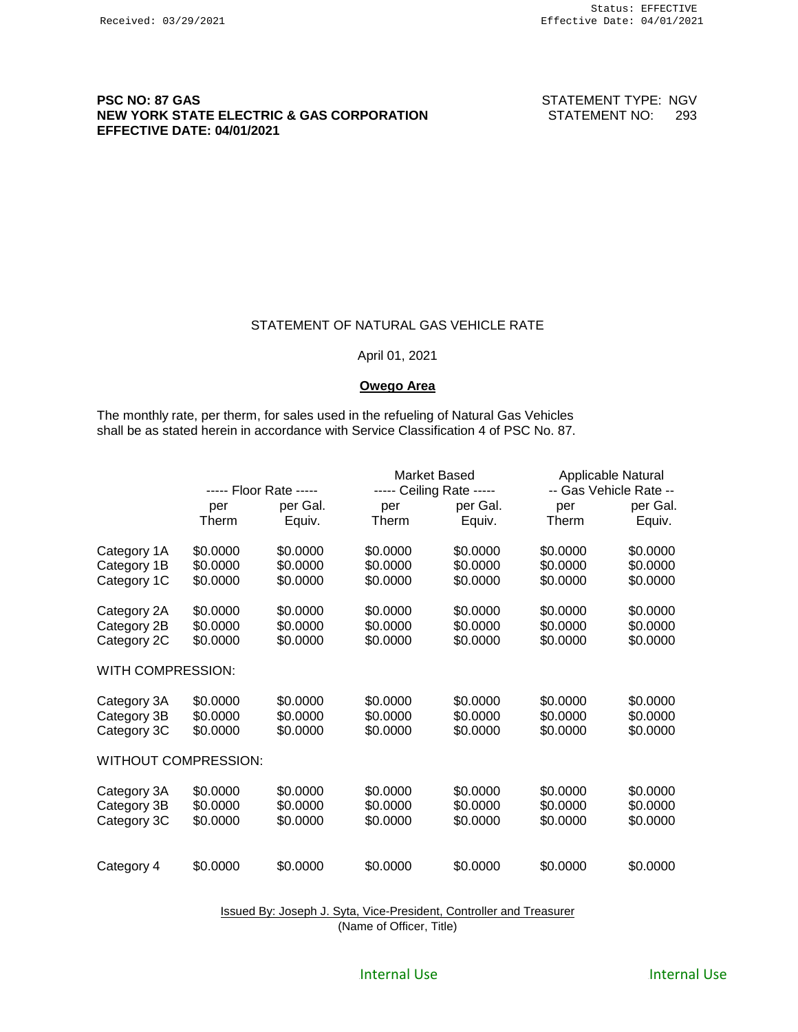#### **PSC NO: 87 GAS PSC NO: 87 GAS STATEMENT TYPE: NGV NEW YORK STATE ELECTRIC & GAS CORPORATION** STATEMENT NO: 293 **EFFECTIVE DATE: 04/01/2021**

#### STATEMENT OF NATURAL GAS VEHICLE RATE

#### April 01, 2021

#### **Owego Area**

The monthly rate, per therm, for sales used in the refueling of Natural Gas Vehicles shall be as stated herein in accordance with Service Classification 4 of PSC No. 87.

|                             | ----- Floor Rate ----- |          | Market Based<br>----- Ceiling Rate ----- |          | Applicable Natural<br>-- Gas Vehicle Rate -- |          |
|-----------------------------|------------------------|----------|------------------------------------------|----------|----------------------------------------------|----------|
|                             |                        |          |                                          |          |                                              |          |
|                             | per                    | per Gal. | per                                      | per Gal. | per                                          | per Gal. |
|                             | Therm                  | Equiv.   | Therm                                    | Equiv.   | Therm                                        | Equiv.   |
| Category 1A                 | \$0.0000               | \$0.0000 | \$0.0000                                 | \$0.0000 | \$0.0000                                     | \$0.0000 |
| Category 1B                 | \$0.0000               | \$0.0000 | \$0.0000                                 | \$0.0000 | \$0.0000                                     | \$0.0000 |
| Category 1C                 | \$0.0000               | \$0.0000 | \$0.0000                                 | \$0.0000 | \$0.0000                                     | \$0.0000 |
| Category 2A                 | \$0.0000               | \$0.0000 | \$0.0000                                 | \$0.0000 | \$0.0000                                     | \$0.0000 |
| Category 2B                 | \$0.0000               | \$0.0000 | \$0.0000                                 | \$0.0000 | \$0.0000                                     | \$0.0000 |
| Category 2C                 | \$0.0000               | \$0.0000 | \$0.0000                                 | \$0.0000 | \$0.0000                                     | \$0.0000 |
| WITH COMPRESSION:           |                        |          |                                          |          |                                              |          |
| Category 3A                 | \$0.0000               | \$0.0000 | \$0.0000                                 | \$0.0000 | \$0.0000                                     | \$0.0000 |
| Category 3B                 | \$0.0000               | \$0.0000 | \$0.0000                                 | \$0.0000 | \$0.0000                                     | \$0.0000 |
| Category 3C                 | \$0.0000               | \$0.0000 | \$0.0000                                 | \$0.0000 | \$0.0000                                     | \$0.0000 |
| <b>WITHOUT COMPRESSION:</b> |                        |          |                                          |          |                                              |          |
| Category 3A                 | \$0.0000               | \$0.0000 | \$0.0000                                 | \$0.0000 | \$0.0000                                     | \$0.0000 |
| Category 3B                 | \$0.0000               | \$0.0000 | \$0.0000                                 | \$0.0000 | \$0.0000                                     | \$0.0000 |
| Category 3C                 | \$0.0000               | \$0.0000 | \$0.0000                                 | \$0.0000 | \$0.0000                                     | \$0.0000 |
|                             |                        |          |                                          |          |                                              |          |
| Category 4                  | \$0.0000               | \$0.0000 | \$0.0000                                 | \$0.0000 | \$0.0000                                     | \$0.0000 |

Issued By: Joseph J. Syta, Vice-President, Controller and Treasurer (Name of Officer, Title)

#### Internal Use **All Accords** 2012 11: Internal Use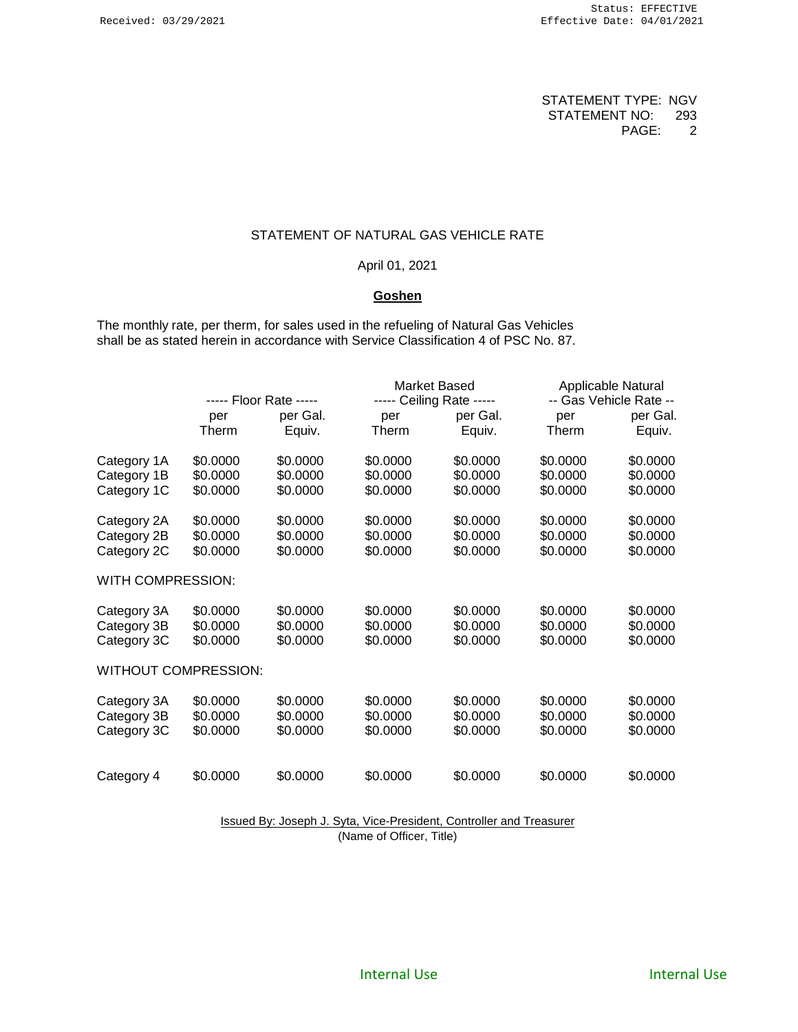## STATEMENT OF NATURAL GAS VEHICLE RATE

## April 01, 2021

#### **Goshen**

The monthly rate, per therm, for sales used in the refueling of Natural Gas Vehicles shall be as stated herein in accordance with Service Classification 4 of PSC No. 87.

|                             | ----- Floor Rate ----- |          |          | Market Based<br>----- Ceiling Rate ----- |          | Applicable Natural     |  |
|-----------------------------|------------------------|----------|----------|------------------------------------------|----------|------------------------|--|
|                             |                        |          |          |                                          |          | -- Gas Vehicle Rate -- |  |
|                             | per                    | per Gal. | per      | per Gal.                                 | per      | per Gal.               |  |
|                             | Therm                  | Equiv.   | Therm    | Equiv.                                   | Therm    | Equiv.                 |  |
| Category 1A                 | \$0.0000               | \$0.0000 | \$0.0000 | \$0.0000                                 | \$0.0000 | \$0.0000               |  |
| Category 1B                 | \$0.0000               | \$0.0000 | \$0.0000 | \$0.0000                                 | \$0.0000 | \$0.0000               |  |
| Category 1C                 | \$0.0000               | \$0.0000 | \$0.0000 | \$0.0000                                 | \$0.0000 | \$0.0000               |  |
| Category 2A                 | \$0.0000               | \$0.0000 | \$0.0000 | \$0.0000                                 | \$0.0000 | \$0.0000               |  |
| Category 2B                 | \$0.0000               | \$0.0000 | \$0.0000 | \$0.0000                                 | \$0.0000 | \$0.0000               |  |
| Category 2C                 | \$0.0000               | \$0.0000 | \$0.0000 | \$0.0000                                 | \$0.0000 | \$0.0000               |  |
| <b>WITH COMPRESSION:</b>    |                        |          |          |                                          |          |                        |  |
| Category 3A                 | \$0.0000               | \$0.0000 | \$0.0000 | \$0.0000                                 | \$0.0000 | \$0.0000               |  |
| Category 3B                 | \$0.0000               | \$0.0000 | \$0.0000 | \$0.0000                                 | \$0.0000 | \$0.0000               |  |
| Category 3C                 | \$0.0000               | \$0.0000 | \$0.0000 | \$0.0000                                 | \$0.0000 | \$0.0000               |  |
| <b>WITHOUT COMPRESSION:</b> |                        |          |          |                                          |          |                        |  |
| Category 3A                 | \$0.0000               | \$0.0000 | \$0.0000 | \$0.0000                                 | \$0.0000 | \$0.0000               |  |
| Category 3B                 | \$0.0000               | \$0.0000 | \$0.0000 | \$0.0000                                 | \$0.0000 | \$0.0000               |  |
| Category 3C                 | \$0.0000               | \$0.0000 | \$0.0000 | \$0.0000                                 | \$0.0000 | \$0.0000               |  |
|                             |                        |          |          |                                          |          |                        |  |
| Category 4                  | \$0.0000               | \$0.0000 | \$0.0000 | \$0.0000                                 | \$0.0000 | \$0.0000               |  |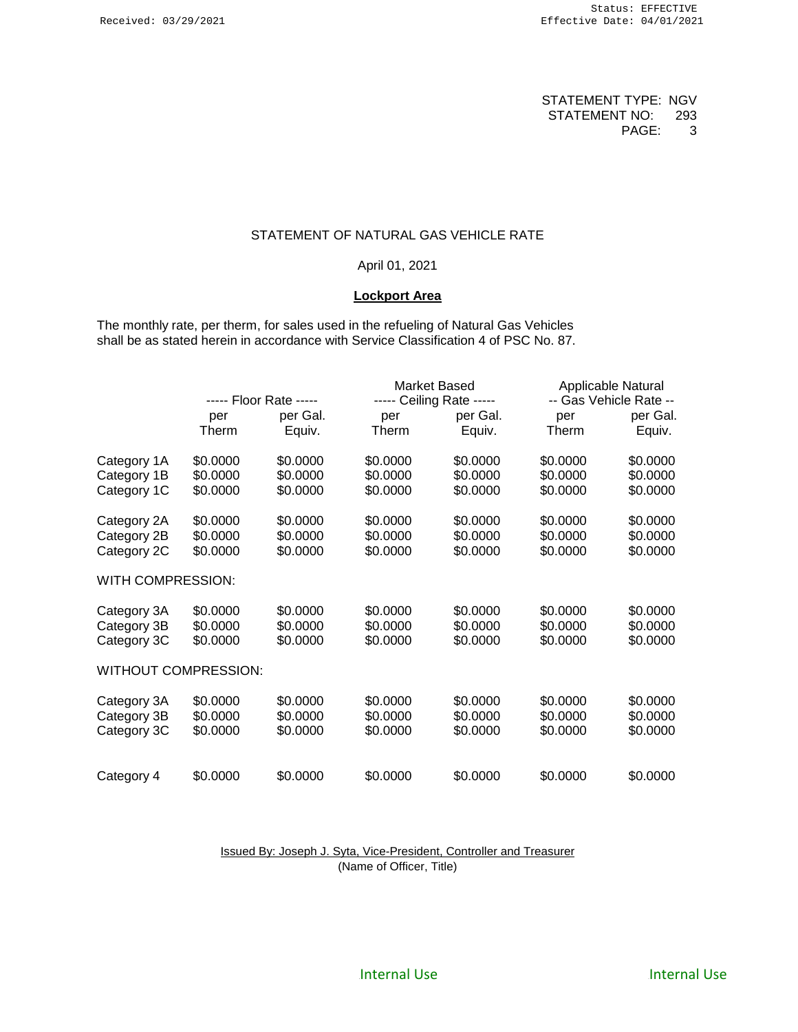## STATEMENT OF NATURAL GAS VEHICLE RATE

#### April 01, 2021

#### **Lockport Area**

The monthly rate, per therm, for sales used in the refueling of Natural Gas Vehicles shall be as stated herein in accordance with Service Classification 4 of PSC No. 87.

|                             | ----- Floor Rate ----- |          | Market Based             |          | Applicable Natural     |          |
|-----------------------------|------------------------|----------|--------------------------|----------|------------------------|----------|
|                             |                        |          | ----- Ceiling Rate ----- |          | -- Gas Vehicle Rate -- |          |
|                             | per                    | per Gal. | per                      | per Gal. | per                    | per Gal. |
|                             | Therm                  | Equiv.   | Therm                    | Equiv.   | Therm                  | Equiv.   |
| Category 1A                 | \$0.0000               | \$0.0000 | \$0.0000                 | \$0.0000 | \$0.0000               | \$0.0000 |
| Category 1B                 | \$0.0000               | \$0.0000 | \$0.0000                 | \$0.0000 | \$0.0000               | \$0.0000 |
| Category 1C                 | \$0.0000               | \$0.0000 | \$0.0000                 | \$0.0000 | \$0.0000               | \$0.0000 |
| Category 2A                 | \$0.0000               | \$0.0000 | \$0.0000                 | \$0.0000 | \$0.0000               | \$0.0000 |
| Category 2B                 | \$0.0000               | \$0.0000 | \$0.0000                 | \$0.0000 | \$0.0000               | \$0.0000 |
| Category 2C                 | \$0.0000               | \$0.0000 | \$0.0000                 | \$0.0000 | \$0.0000               | \$0.0000 |
| WITH COMPRESSION:           |                        |          |                          |          |                        |          |
| Category 3A                 | \$0.0000               | \$0.0000 | \$0.0000                 | \$0.0000 | \$0.0000               | \$0.0000 |
| Category 3B                 | \$0.0000               | \$0.0000 | \$0.0000                 | \$0.0000 | \$0.0000               | \$0.0000 |
| Category 3C                 | \$0.0000               | \$0.0000 | \$0.0000                 | \$0.0000 | \$0.0000               | \$0.0000 |
| <b>WITHOUT COMPRESSION:</b> |                        |          |                          |          |                        |          |
| Category 3A                 | \$0.0000               | \$0.0000 | \$0.0000                 | \$0.0000 | \$0.0000               | \$0.0000 |
| Category 3B                 | \$0.0000               | \$0.0000 | \$0.0000                 | \$0.0000 | \$0.0000               | \$0.0000 |
| Category 3C                 | \$0.0000               | \$0.0000 | \$0.0000                 | \$0.0000 | \$0.0000               | \$0.0000 |
|                             |                        |          |                          |          |                        |          |
| Category 4                  | \$0.0000               | \$0.0000 | \$0.0000                 | \$0.0000 | \$0.0000               | \$0.0000 |

Issued By: Joseph J. Syta, Vice-President, Controller and Treasurer (Name of Officer, Title)

Internal Use **All Accords** 2012 11:30 Internal Use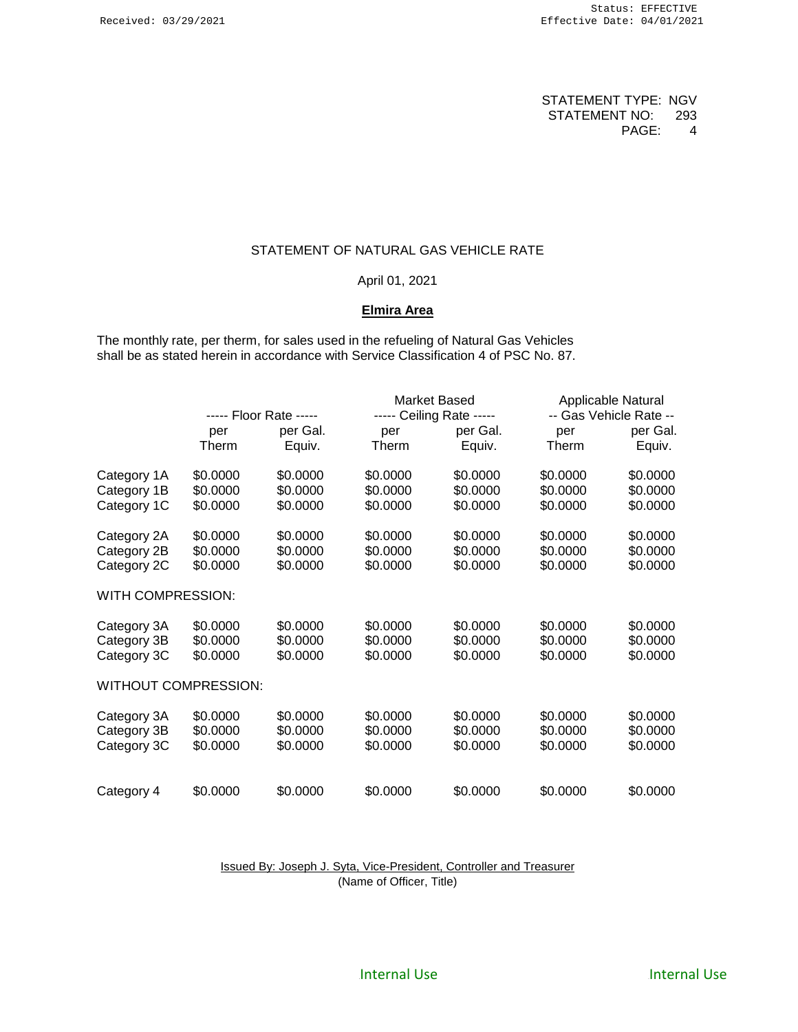# STATEMENT OF NATURAL GAS VEHICLE RATE

## April 01, 2021

# **Elmira Area**

The monthly rate, per therm, for sales used in the refueling of Natural Gas Vehicles shall be as stated herein in accordance with Service Classification 4 of PSC No. 87.

|                             | ----- Floor Rate ----- |          |          | Market Based             |                        | Applicable Natural |  |
|-----------------------------|------------------------|----------|----------|--------------------------|------------------------|--------------------|--|
|                             |                        |          |          | ----- Ceiling Rate ----- | -- Gas Vehicle Rate -- |                    |  |
|                             | per                    | per Gal. | per      | per Gal.                 | per                    | per Gal.           |  |
|                             | Therm                  | Equiv.   | Therm    | Equiv.                   | Therm                  | Equiv.             |  |
| Category 1A                 | \$0.0000               | \$0.0000 | \$0.0000 | \$0.0000                 | \$0.0000               | \$0.0000           |  |
| Category 1B                 | \$0.0000               | \$0.0000 | \$0.0000 | \$0.0000                 | \$0.0000               | \$0.0000           |  |
| Category 1C                 | \$0.0000               | \$0.0000 | \$0.0000 | \$0.0000                 | \$0.0000               | \$0.0000           |  |
| Category 2A                 | \$0.0000               | \$0.0000 | \$0.0000 | \$0.0000                 | \$0.0000               | \$0.0000           |  |
| Category 2B                 | \$0.0000               | \$0.0000 | \$0.0000 | \$0.0000                 | \$0.0000               | \$0.0000           |  |
| Category 2C                 | \$0.0000               | \$0.0000 | \$0.0000 | \$0.0000                 | \$0.0000               | \$0.0000           |  |
| WITH COMPRESSION:           |                        |          |          |                          |                        |                    |  |
| Category 3A                 | \$0.0000               | \$0.0000 | \$0.0000 | \$0.0000                 | \$0.0000               | \$0.0000           |  |
| Category 3B                 | \$0.0000               | \$0.0000 | \$0.0000 | \$0.0000                 | \$0.0000               | \$0.0000           |  |
| Category 3C                 | \$0.0000               | \$0.0000 | \$0.0000 | \$0.0000                 | \$0.0000               | \$0.0000           |  |
| <b>WITHOUT COMPRESSION:</b> |                        |          |          |                          |                        |                    |  |
| Category 3A                 | \$0.0000               | \$0.0000 | \$0.0000 | \$0.0000                 | \$0.0000               | \$0.0000           |  |
| Category 3B                 | \$0.0000               | \$0.0000 | \$0.0000 | \$0.0000                 | \$0.0000               | \$0.0000           |  |
| Category 3C                 | \$0.0000               | \$0.0000 | \$0.0000 | \$0.0000                 | \$0.0000               | \$0.0000           |  |
|                             |                        |          |          |                          |                        |                    |  |
| Category 4                  | \$0.0000               | \$0.0000 | \$0.0000 | \$0.0000                 | \$0.0000               | \$0.0000           |  |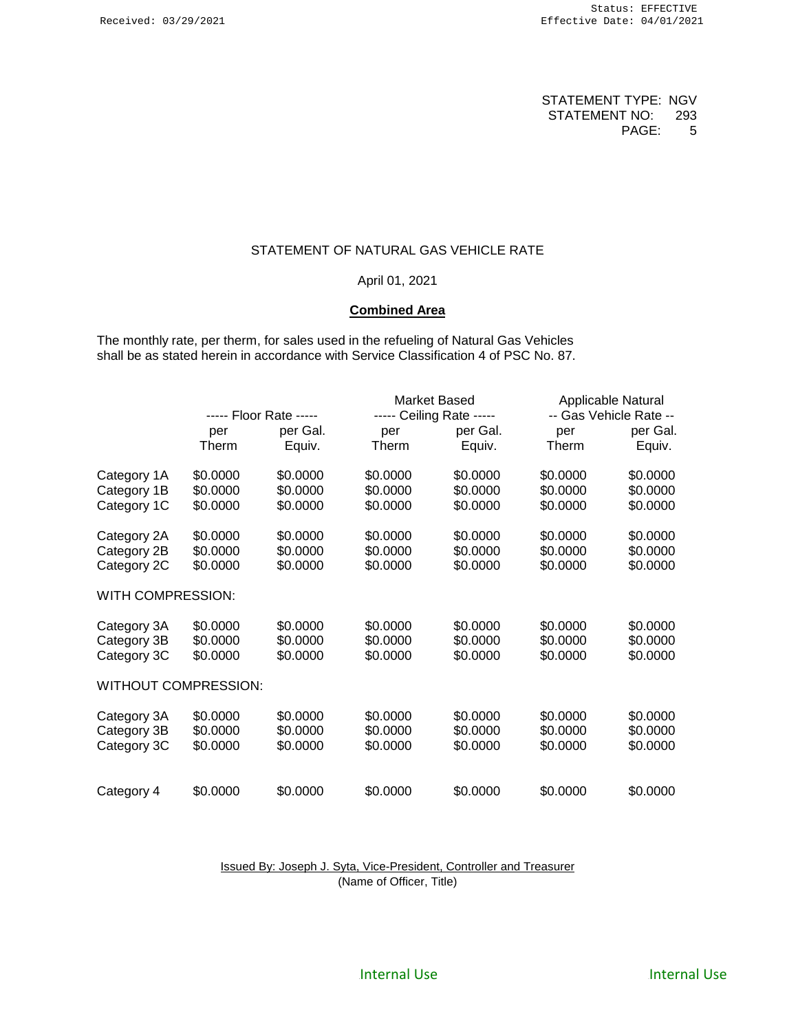# STATEMENT OF NATURAL GAS VEHICLE RATE

## April 01, 2021

## **Combined Area**

The monthly rate, per therm, for sales used in the refueling of Natural Gas Vehicles shall be as stated herein in accordance with Service Classification 4 of PSC No. 87.

|                             | ----- Floor Rate ----- |          |          | Market Based             |                        | Applicable Natural |  |
|-----------------------------|------------------------|----------|----------|--------------------------|------------------------|--------------------|--|
|                             |                        |          |          | ----- Ceiling Rate ----- | -- Gas Vehicle Rate -- |                    |  |
|                             | per                    | per Gal. | per      | per Gal.                 | per                    | per Gal.           |  |
|                             | Therm                  | Equiv.   | Therm    | Equiv.                   | Therm                  | Equiv.             |  |
| Category 1A                 | \$0.0000               | \$0.0000 | \$0.0000 | \$0.0000                 | \$0.0000               | \$0.0000           |  |
| Category 1B                 | \$0.0000               | \$0.0000 | \$0.0000 | \$0.0000                 | \$0.0000               | \$0.0000           |  |
| Category 1C                 | \$0.0000               | \$0.0000 | \$0.0000 | \$0.0000                 | \$0.0000               | \$0.0000           |  |
| Category 2A                 | \$0.0000               | \$0.0000 | \$0.0000 | \$0.0000                 | \$0.0000               | \$0.0000           |  |
| Category 2B                 | \$0.0000               | \$0.0000 | \$0.0000 | \$0.0000                 | \$0.0000               | \$0.0000           |  |
| Category 2C                 | \$0.0000               | \$0.0000 | \$0.0000 | \$0.0000                 | \$0.0000               | \$0.0000           |  |
| WITH COMPRESSION:           |                        |          |          |                          |                        |                    |  |
| Category 3A                 | \$0.0000               | \$0.0000 | \$0.0000 | \$0.0000                 | \$0.0000               | \$0.0000           |  |
| Category 3B                 | \$0.0000               | \$0.0000 | \$0.0000 | \$0.0000                 | \$0.0000               | \$0.0000           |  |
| Category 3C                 | \$0.0000               | \$0.0000 | \$0.0000 | \$0.0000                 | \$0.0000               | \$0.0000           |  |
| <b>WITHOUT COMPRESSION:</b> |                        |          |          |                          |                        |                    |  |
| Category 3A                 | \$0.0000               | \$0.0000 | \$0.0000 | \$0.0000                 | \$0.0000               | \$0.0000           |  |
| Category 3B                 | \$0.0000               | \$0.0000 | \$0.0000 | \$0.0000                 | \$0.0000               | \$0.0000           |  |
| Category 3C                 | \$0.0000               | \$0.0000 | \$0.0000 | \$0.0000                 | \$0.0000               | \$0.0000           |  |
|                             |                        |          |          |                          |                        |                    |  |
| Category 4                  | \$0.0000               | \$0.0000 | \$0.0000 | \$0.0000                 | \$0.0000               | \$0.0000           |  |

Issued By: Joseph J. Syta, Vice-President, Controller and Treasurer (Name of Officer, Title)

Internal Use **All Accords** 2012 11:30 Internal Use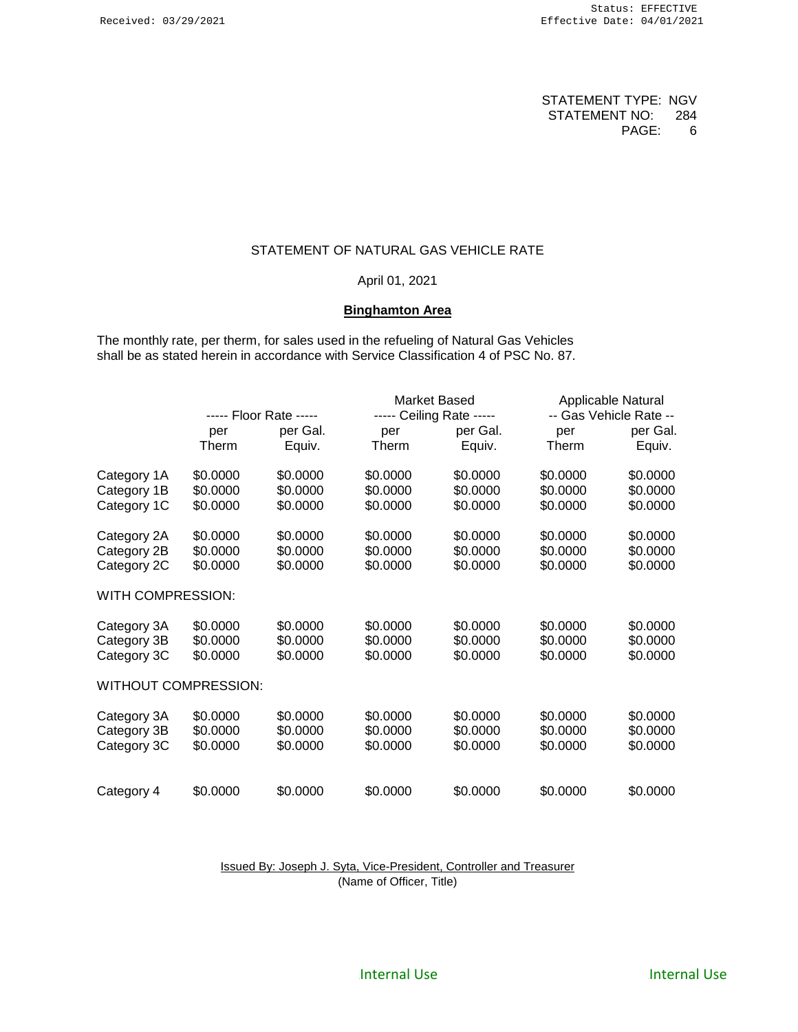# STATEMENT OF NATURAL GAS VEHICLE RATE

# April 01, 2021

# **Binghamton Area**

The monthly rate, per therm, for sales used in the refueling of Natural Gas Vehicles shall be as stated herein in accordance with Service Classification 4 of PSC No. 87.

|                             | ----- Floor Rate ----- |          | Market Based |                          | Applicable Natural     |          |
|-----------------------------|------------------------|----------|--------------|--------------------------|------------------------|----------|
|                             |                        |          |              | ----- Ceiling Rate ----- | -- Gas Vehicle Rate -- |          |
|                             | per                    | per Gal. | per          | per Gal.                 | per                    | per Gal. |
|                             | Therm                  | Equiv.   | Therm        | Equiv.                   | Therm                  | Equiv.   |
| Category 1A                 | \$0.0000               | \$0.0000 | \$0.0000     | \$0.0000                 | \$0.0000               | \$0.0000 |
| Category 1B                 | \$0.0000               | \$0.0000 | \$0.0000     | \$0.0000                 | \$0.0000               | \$0.0000 |
| Category 1C                 | \$0.0000               | \$0.0000 | \$0.0000     | \$0.0000                 | \$0.0000               | \$0.0000 |
| Category 2A                 | \$0.0000               | \$0.0000 | \$0.0000     | \$0.0000                 | \$0.0000               | \$0.0000 |
| Category 2B                 | \$0.0000               | \$0.0000 | \$0.0000     | \$0.0000                 | \$0.0000               | \$0.0000 |
| Category 2C                 | \$0.0000               | \$0.0000 | \$0.0000     | \$0.0000                 | \$0.0000               | \$0.0000 |
| WITH COMPRESSION:           |                        |          |              |                          |                        |          |
| Category 3A                 | \$0.0000               | \$0.0000 | \$0.0000     | \$0.0000                 | \$0.0000               | \$0.0000 |
| Category 3B                 | \$0.0000               | \$0.0000 | \$0.0000     | \$0.0000                 | \$0.0000               | \$0.0000 |
| Category 3C                 | \$0.0000               | \$0.0000 | \$0.0000     | \$0.0000                 | \$0.0000               | \$0.0000 |
| <b>WITHOUT COMPRESSION:</b> |                        |          |              |                          |                        |          |
| Category 3A                 | \$0.0000               | \$0.0000 | \$0.0000     | \$0.0000                 | \$0.0000               | \$0.0000 |
| Category 3B                 | \$0.0000               | \$0.0000 | \$0.0000     | \$0.0000                 | \$0.0000               | \$0.0000 |
| Category 3C                 | \$0.0000               | \$0.0000 | \$0.0000     | \$0.0000                 | \$0.0000               | \$0.0000 |
|                             |                        |          |              |                          |                        |          |
| Category 4                  | \$0.0000               | \$0.0000 | \$0.0000     | \$0.0000                 | \$0.0000               | \$0.0000 |